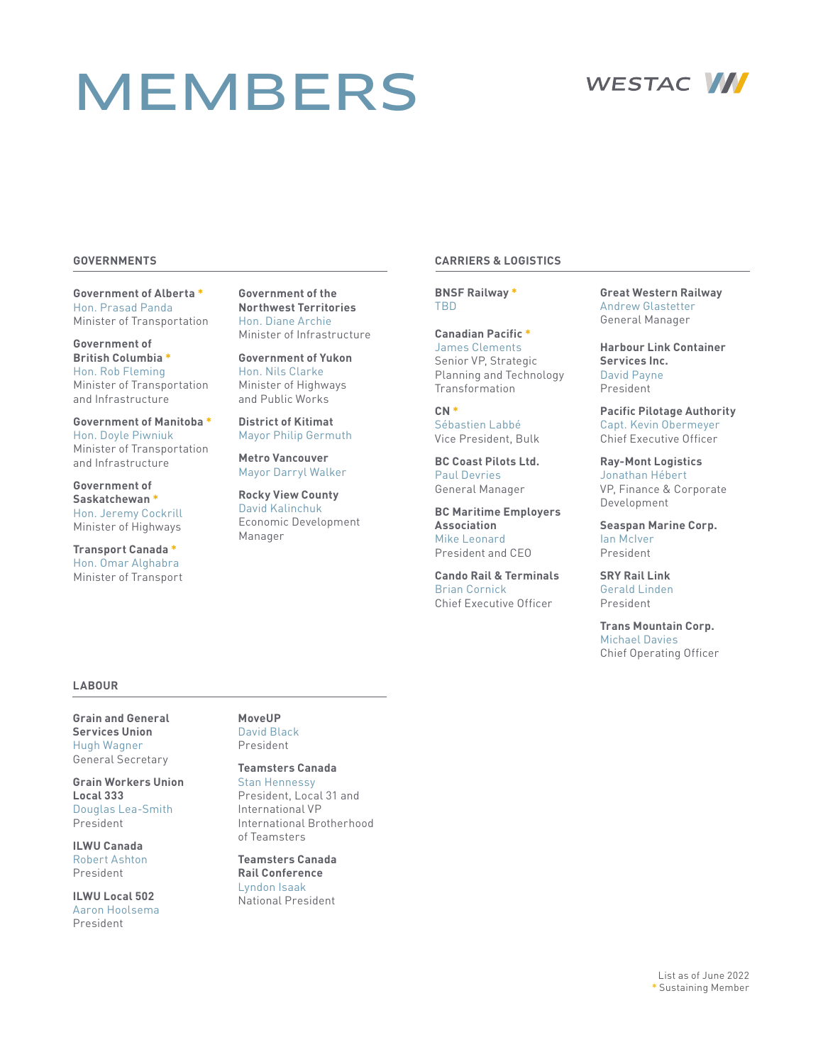# MEMBERS



### **GOVERNMENTS**

**Government of Alberta \*** Hon. Prasad Panda Minister of Transportation

**Government of British Columbia \*** Hon. Rob Fleming Minister of Transportation and Infrastructure

**Government of Manitoba \*** Hon. Doyle Piwniuk Minister of Transportation and Infrastructure

**Government of Saskatchewan \*** Hon. Jeremy Cockrill Minister of Highways

**Transport Canada \*** Hon. Omar Alghabra Minister of Transport **Government of the Northwest Territories** Hon. Diane Archie Minister of Infrastructure

**Government of Yukon** Hon. Nils Clarke Minister of Highways and Public Works

**District of Kitimat** Mayor Philip Germuth

**Metro Vancouver** Mayor Darryl Walker

**Rocky View County** David Kalinchuk Economic Development Manager

### **CARRIERS & LOGISTICS**

**BNSF Railway \*** TBD

**Canadian Pacific \*** James Clements Senior VP, Strategic Planning and Technology Transformation

**CN \*** Sébastien Labbé Vice President, Bulk

**BC Coast Pilots Ltd.** Paul Devries General Manager

**BC Maritime Employers Association** Mike Leonard President and CEO

**Cando Rail & Terminals** Brian Cornick Chief Executive Officer

**Great Western Railway** Andrew Glastetter General Manager

**Harbour Link Container Services Inc.** David Payne President

**Pacific Pilotage Authority** Capt. Kevin Obermeyer Chief Executive Officer

**Ray-Mont Logistics** Jonathan Hébert VP, Finance & Corporate Development

**Seaspan Marine Corp.** Ian McIver President

**SRY Rail Link** Gerald Linden President

**Trans Mountain Corp.** Michael Davies Chief Operating Officer

### **LABOUR**

**Grain and General Services Union** Hugh Wagner General Secretary

**Grain Workers Union Local 333** Douglas Lea-Smith President

**ILWU Canada** Robert Ashton President

**ILWU Local 502** Aaron Hoolsema President

### **MoveUP** David Black President

**Teamsters Canada** Stan Hennessy President, Local 31 and International VP International Brotherhood

of Teamsters **Teamsters Canada Rail Conference** Lyndon Isaak National President

> List as of June 2022 **\*** Sustaining Member